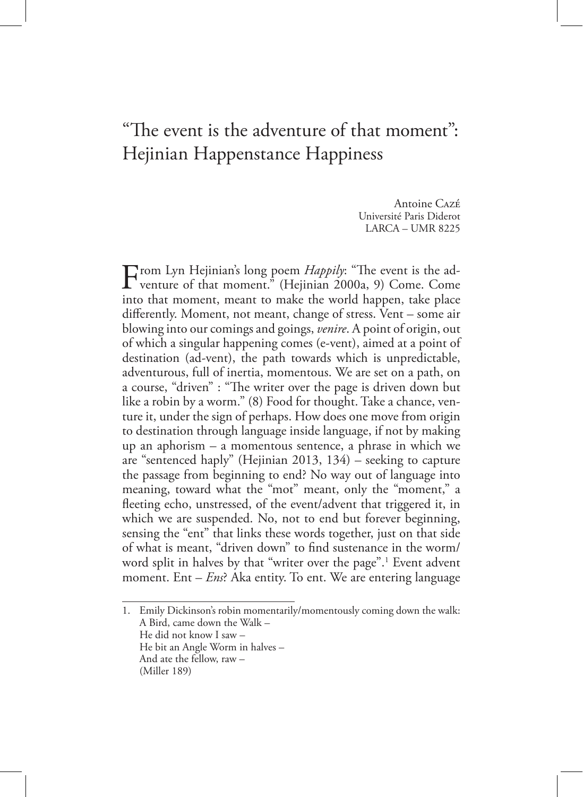## "The event is the adventure of that moment": Hejinian Happenstance Happiness

Antoine Cazé Université Paris Diderot LARCA – UMR 8225

From Lyn Hejinian's long poem *Happily*: "The event is the ad-<br>venture of that moment." (Hejinian 2000a, 9) Come. Come<br>into that moment, meant to make the world hannon, take also into that moment, meant to make the world happen, take place differently. Moment, not meant, change of stress. Vent – some air blowing into our comings and goings, *venire*. A point of origin, out of which a singular happening comes (e-vent), aimed at a point of destination (ad-vent), the path towards which is unpredictable, adventurous, full of inertia, momentous. We are set on a path, on a course, "driven" : "The writer over the page is driven down but like a robin by a worm." (8) Food for thought. Take a chance, venture it, under the sign of perhaps. How does one move from origin to destination through language inside language, if not by making up an aphorism – a momentous sentence, a phrase in which we are "sentenced haply" (Hejinian 2013, 134) – seeking to capture the passage from beginning to end? No way out of language into meaning, toward what the "mot" meant, only the "moment," a fleeting echo, unstressed, of the event/advent that triggered it, in which we are suspended. No, not to end but forever beginning, sensing the "ent" that links these words together, just on that side of what is meant, "driven down" to find sustenance in the worm/ word split in halves by that "writer over the page".<sup>1</sup> Event advent moment. Ent – *Ens*? Aka entity. To ent. We are entering language

1. Emily Dickinson's robin momentarily/momentously coming down the walk: A Bird, came down the Walk – He did not know I saw – He bit an Angle Worm in halves – And ate the fellow, raw – (Miller 189)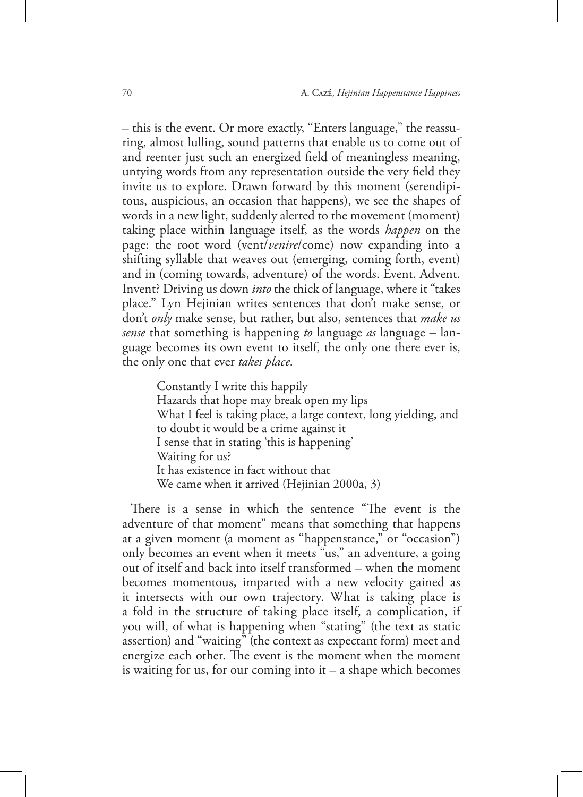– this is the event. Or more exactly, "Enters language," the reassuring, almost lulling, sound patterns that enable us to come out of and reenter just such an energized field of meaningless meaning, untying words from any representation outside the very field they invite us to explore. Drawn forward by this moment (serendipitous, auspicious, an occasion that happens), we see the shapes of words in a new light, suddenly alerted to the movement (moment) taking place within language itself, as the words *happen* on the page: the root word (vent/*venire*/come) now expanding into a shifting syllable that weaves out (emerging, coming forth, event) and in (coming towards, adventure) of the words. Event. Advent. Invent? Driving us down *into* the thick of language, where it "takes place." Lyn Hejinian writes sentences that don't make sense, or don't *only* make sense, but rather, but also, sentences that *make us sense* that something is happening *to* language *as* language – language becomes its own event to itself, the only one there ever is, the only one that ever *takes place*.

Constantly I write this happily Hazards that hope may break open my lips What I feel is taking place, a large context, long yielding, and to doubt it would be a crime against it I sense that in stating 'this is happening' Waiting for us? It has existence in fact without that We came when it arrived (Hejinian 2000a, 3)

There is a sense in which the sentence "The event is the adventure of that moment" means that something that happens at a given moment (a moment as "happenstance," or "occasion") only becomes an event when it meets "us," an adventure, a going out of itself and back into itself transformed – when the moment becomes momentous, imparted with a new velocity gained as it intersects with our own trajectory. What is taking place is a fold in the structure of taking place itself, a complication, if you will, of what is happening when "stating" (the text as static assertion) and "waiting" (the context as expectant form) meet and energize each other. The event is the moment when the moment is waiting for us, for our coming into  $it - a$  shape which becomes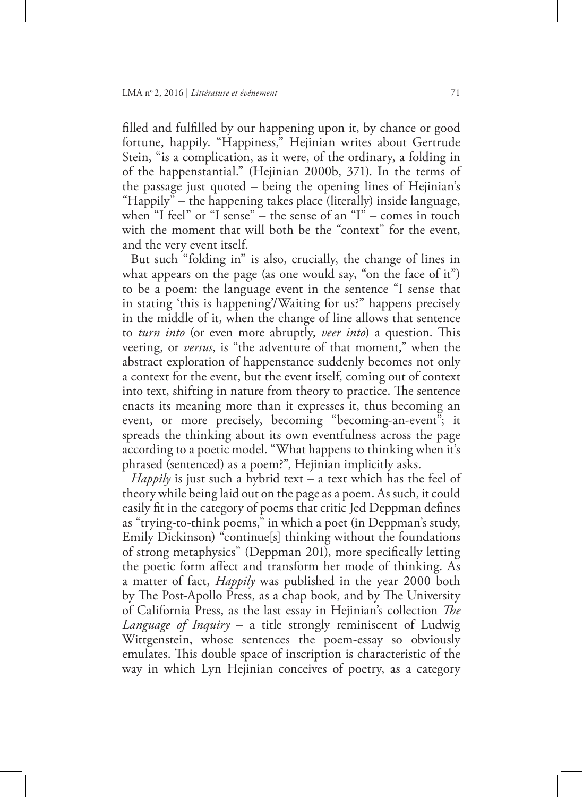filled and fulfilled by our happening upon it, by chance or good fortune, happily. "Happiness," Hejinian writes about Gertrude Stein, "is a complication, as it were, of the ordinary, a folding in of the happenstantial." (Hejinian 2000b, 371). In the terms of the passage just quoted – being the opening lines of Hejinian's "Happily" – the happening takes place (literally) inside language, when "I feel" or "I sense" – the sense of an "I" – comes in touch with the moment that will both be the "context" for the event, and the very event itself.

But such "folding in" is also, crucially, the change of lines in what appears on the page (as one would say, "on the face of it") to be a poem: the language event in the sentence "I sense that in stating 'this is happening'/Waiting for us?" happens precisely in the middle of it, when the change of line allows that sentence to *turn into* (or even more abruptly, *veer into*) a question. This veering, or *versus*, is "the adventure of that moment," when the abstract exploration of happenstance suddenly becomes not only a context for the event, but the event itself, coming out of context into text, shifting in nature from theory to practice. The sentence enacts its meaning more than it expresses it, thus becoming an event, or more precisely, becoming "becoming-an-event"; it spreads the thinking about its own eventfulness across the page according to a poetic model. "What happens to thinking when it's phrased (sentenced) as a poem?", Hejinian implicitly asks.

*Happily* is just such a hybrid text – a text which has the feel of theory while being laid out on the page as a poem. As such, it could easily fit in the category of poems that critic Jed Deppman defines as "trying-to-think poems," in which a poet (in Deppman's study, Emily Dickinson) "continue[s] thinking without the foundations of strong metaphysics" (Deppman 201), more specifically letting the poetic form affect and transform her mode of thinking. As a matter of fact, *Happily* was published in the year 2000 both by The Post-Apollo Press, as a chap book, and by The University of California Press, as the last essay in Hejinian's collection *The Language of Inquiry* – a title strongly reminiscent of Ludwig Wittgenstein, whose sentences the poem-essay so obviously emulates. This double space of inscription is characteristic of the way in which Lyn Hejinian conceives of poetry, as a category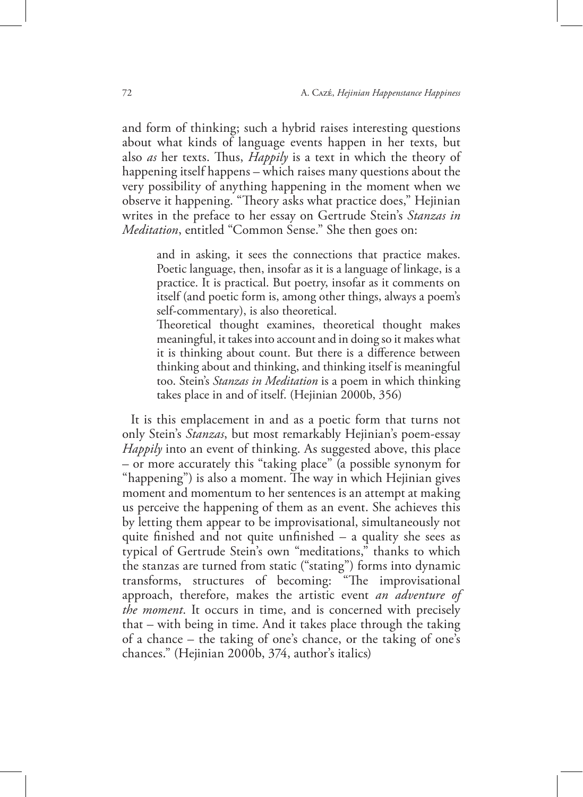and form of thinking; such a hybrid raises interesting questions about what kinds of language events happen in her texts, but also *as* her texts. Thus, *Happily* is a text in which the theory of happening itself happens – which raises many questions about the very possibility of anything happening in the moment when we observe it happening. "Theory asks what practice does," Hejinian writes in the preface to her essay on Gertrude Stein's *Stanzas in Meditation*, entitled "Common Sense." She then goes on:

and in asking, it sees the connections that practice makes. Poetic language, then, insofar as it is a language of linkage, is a practice. It is practical. But poetry, insofar as it comments on itself (and poetic form is, among other things, always a poem's self-commentary), is also theoretical.

Theoretical thought examines, theoretical thought makes meaningful, it takes into account and in doing so it makes what it is thinking about count. But there is a difference between thinking about and thinking, and thinking itself is meaningful too. Stein's *Stanzas in Meditation* is a poem in which thinking takes place in and of itself. (Hejinian 2000b, 356)

It is this emplacement in and as a poetic form that turns not only Stein's *Stanzas*, but most remarkably Hejinian's poem-essay *Happily* into an event of thinking. As suggested above, this place – or more accurately this "taking place" (a possible synonym for "happening") is also a moment. The way in which Hejinian gives moment and momentum to her sentences is an attempt at making us perceive the happening of them as an event. She achieves this by letting them appear to be improvisational, simultaneously not quite finished and not quite unfinished – a quality she sees as typical of Gertrude Stein's own "meditations," thanks to which the stanzas are turned from static ("stating") forms into dynamic transforms, structures of becoming: "The improvisational approach, therefore, makes the artistic event *an adventure of the moment*. It occurs in time, and is concerned with precisely that – with being in time. And it takes place through the taking of a chance – the taking of one's chance, or the taking of one's chances." (Hejinian 2000b, 374, author's italics)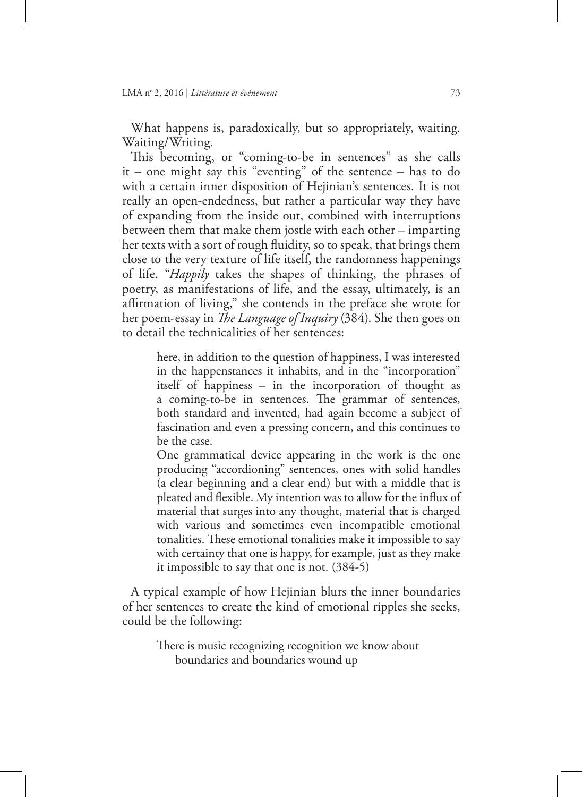What happens is, paradoxically, but so appropriately, waiting. Waiting/Writing.

This becoming, or "coming-to-be in sentences" as she calls it – one might say this "eventing" of the sentence – has to do with a certain inner disposition of Hejinian's sentences. It is not really an open-endedness, but rather a particular way they have of expanding from the inside out, combined with interruptions between them that make them jostle with each other – imparting her texts with a sort of rough fluidity, so to speak, that brings them close to the very texture of life itself, the randomness happenings of life. "*Happily* takes the shapes of thinking, the phrases of poetry, as manifestations of life, and the essay, ultimately, is an affirmation of living," she contends in the preface she wrote for her poem-essay in *The Language of Inquiry* (384). She then goes on to detail the technicalities of her sentences:

here, in addition to the question of happiness, I was interested in the happenstances it inhabits, and in the "incorporation" itself of happiness – in the incorporation of thought as a coming-to-be in sentences. The grammar of sentences, both standard and invented, had again become a subject of fascination and even a pressing concern, and this continues to be the case.

One grammatical device appearing in the work is the one producing "accordioning" sentences, ones with solid handles (a clear beginning and a clear end) but with a middle that is pleated and flexible. My intention was to allow for the influx of material that surges into any thought, material that is charged with various and sometimes even incompatible emotional tonalities. These emotional tonalities make it impossible to say with certainty that one is happy, for example, just as they make it impossible to say that one is not. (384-5)

A typical example of how Hejinian blurs the inner boundaries of her sentences to create the kind of emotional ripples she seeks, could be the following:

There is music recognizing recognition we know about boundaries and boundaries wound up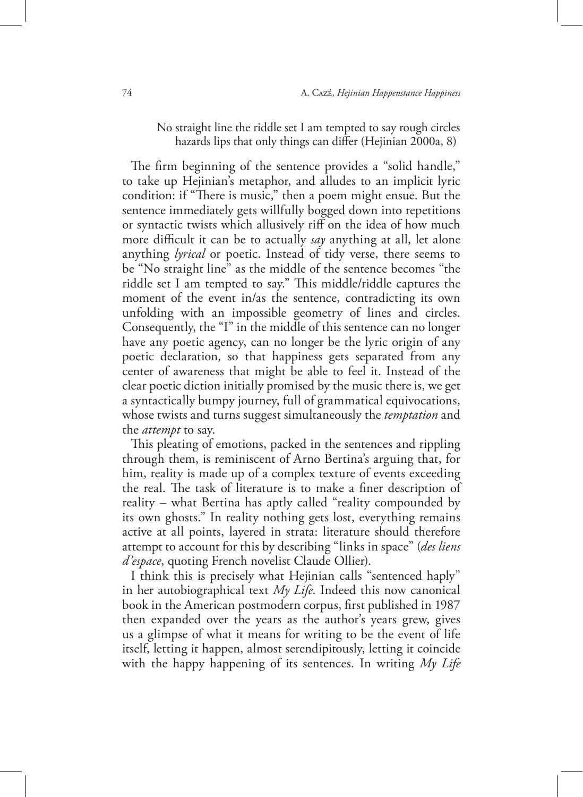## No straight line the riddle set I am tempted to say rough circles hazards lips that only things can differ (Hejinian 2000a, 8)

The firm beginning of the sentence provides a "solid handle," to take up Hejinian's metaphor, and alludes to an implicit lyric condition: if "There is music," then a poem might ensue. But the sentence immediately gets willfully bogged down into repetitions or syntactic twists which allusively riff on the idea of how much more difficult it can be to actually *say* anything at all, let alone anything *lyrical* or poetic. Instead of tidy verse, there seems to be "No straight line" as the middle of the sentence becomes "the riddle set I am tempted to say." This middle/riddle captures the moment of the event in/as the sentence, contradicting its own unfolding with an impossible geometry of lines and circles. Consequently, the "I" in the middle of this sentence can no longer have any poetic agency, can no longer be the lyric origin of any poetic declaration, so that happiness gets separated from any center of awareness that might be able to feel it. Instead of the clear poetic diction initially promised by the music there is, we get a syntactically bumpy journey, full of grammatical equivocations, whose twists and turns suggest simultaneously the *temptation* and the *attempt* to say.

This pleating of emotions, packed in the sentences and rippling through them, is reminiscent of Arno Bertina's arguing that, for him, reality is made up of a complex texture of events exceeding the real. The task of literature is to make a finer description of reality – what Bertina has aptly called "reality compounded by its own ghosts." In reality nothing gets lost, everything remains active at all points, layered in strata: literature should therefore attempt to account for this by describing "links in space" (*des liens d'espace*, quoting French novelist Claude Ollier).

I think this is precisely what Hejinian calls "sentenced haply" in her autobiographical text *My Life*. Indeed this now canonical book in the American postmodern corpus, first published in 1987 then expanded over the years as the author's years grew, gives us a glimpse of what it means for writing to be the event of life itself, letting it happen, almost serendipitously, letting it coincide with the happy happening of its sentences. In writing *My Life*